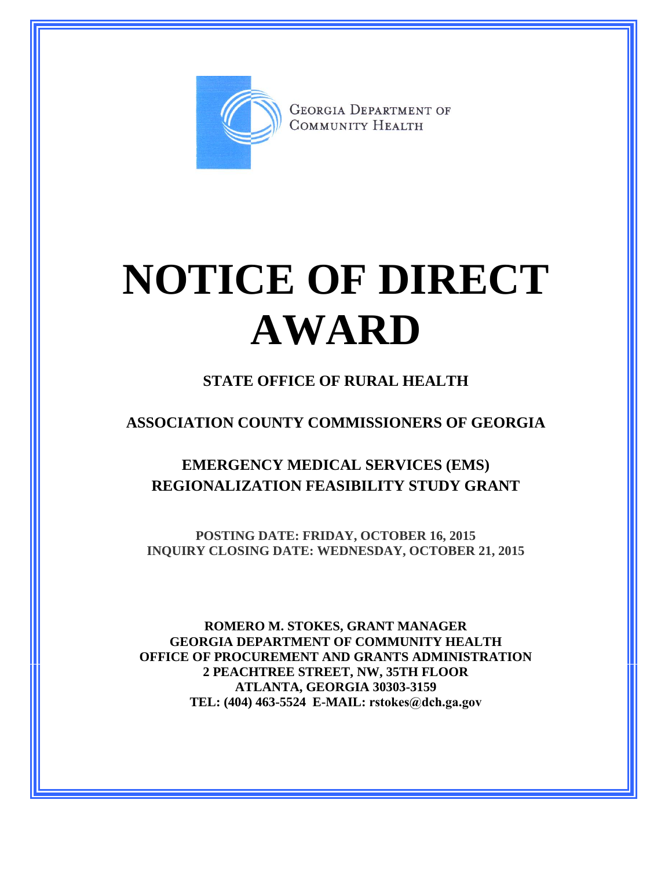

**GEORGIA DEPARTMENT OF** COMMUNITY HEALTH

# **NOTICE OF DIRECT AWARD**

### **STATE OFFICE OF RURAL HEALTH**

**ASSOCIATION COUNTY COMMISSIONERS OF GEORGIA**

**EMERGENCY MEDICAL SERVICES (EMS) REGIONALIZATION FEASIBILITY STUDY GRANT**

**POSTING DATE: FRIDAY, OCTOBER 16, 2015 INQUIRY CLOSING DATE: WEDNESDAY, OCTOBER 21, 2015**

**ROMERO M. STOKES, GRANT MANAGER GEORGIA DEPARTMENT OF COMMUNITY HEALTH OFFICE OF PROCUREMENT AND GRANTS ADMINISTRATION 2 PEACHTREE STREET, NW, 35TH FLOOR ATLANTA, GEORGIA 30303-3159 TEL: (404) 463-5524 E-MAIL: rstokes@dch.ga.gov**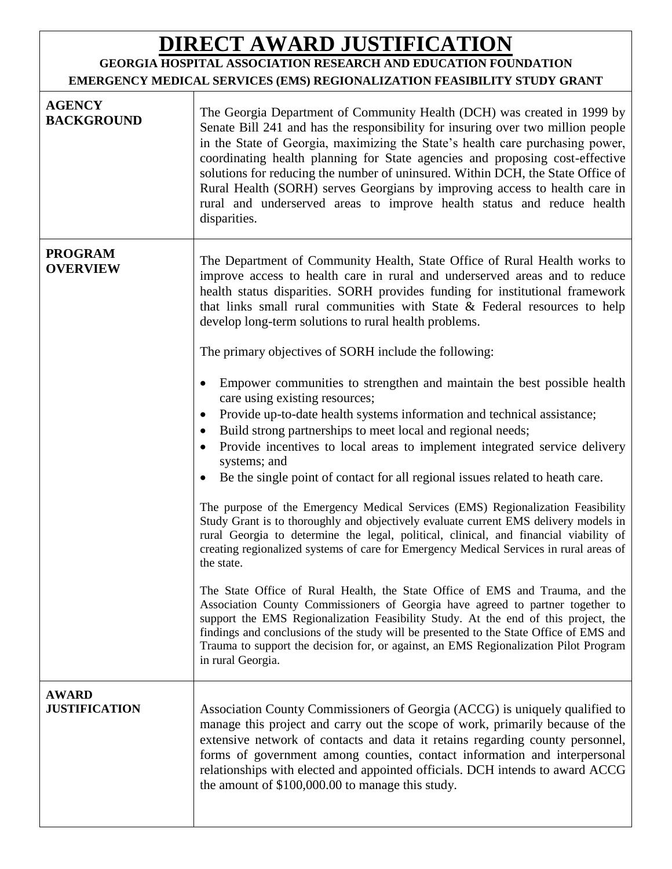## **DIRECT AWARD JUSTIFICATION**

#### **GEORGIA HOSPITAL ASSOCIATION RESEARCH AND EDUCATION FOUNDATION EMERGENCY MEDICAL SERVICES (EMS) REGIONALIZATION FEASIBILITY STUDY GRANT**

| <b>AGENCY</b><br><b>BACKGROUND</b>   | The Georgia Department of Community Health (DCH) was created in 1999 by<br>Senate Bill 241 and has the responsibility for insuring over two million people<br>in the State of Georgia, maximizing the State's health care purchasing power,<br>coordinating health planning for State agencies and proposing cost-effective<br>solutions for reducing the number of uninsured. Within DCH, the State Office of<br>Rural Health (SORH) serves Georgians by improving access to health care in<br>rural and underserved areas to improve health status and reduce health<br>disparities.                                                                                                                                                                                                                                                                                                                                                                                                                                                                                                                                                                                                                                                                                                                                                                                                                                                                                                                                                                                                                                                                                                                                                                     |
|--------------------------------------|------------------------------------------------------------------------------------------------------------------------------------------------------------------------------------------------------------------------------------------------------------------------------------------------------------------------------------------------------------------------------------------------------------------------------------------------------------------------------------------------------------------------------------------------------------------------------------------------------------------------------------------------------------------------------------------------------------------------------------------------------------------------------------------------------------------------------------------------------------------------------------------------------------------------------------------------------------------------------------------------------------------------------------------------------------------------------------------------------------------------------------------------------------------------------------------------------------------------------------------------------------------------------------------------------------------------------------------------------------------------------------------------------------------------------------------------------------------------------------------------------------------------------------------------------------------------------------------------------------------------------------------------------------------------------------------------------------------------------------------------------------|
| <b>PROGRAM</b><br><b>OVERVIEW</b>    | The Department of Community Health, State Office of Rural Health works to<br>improve access to health care in rural and underserved areas and to reduce<br>health status disparities. SORH provides funding for institutional framework<br>that links small rural communities with State $\&$ Federal resources to help<br>develop long-term solutions to rural health problems.<br>The primary objectives of SORH include the following:<br>Empower communities to strengthen and maintain the best possible health<br>٠<br>care using existing resources;<br>Provide up-to-date health systems information and technical assistance;<br>$\bullet$<br>Build strong partnerships to meet local and regional needs;<br>$\bullet$<br>Provide incentives to local areas to implement integrated service delivery<br>systems; and<br>Be the single point of contact for all regional issues related to heath care.<br>The purpose of the Emergency Medical Services (EMS) Regionalization Feasibility<br>Study Grant is to thoroughly and objectively evaluate current EMS delivery models in<br>rural Georgia to determine the legal, political, clinical, and financial viability of<br>creating regionalized systems of care for Emergency Medical Services in rural areas of<br>the state.<br>The State Office of Rural Health, the State Office of EMS and Trauma, and the<br>Association County Commissioners of Georgia have agreed to partner together to<br>support the EMS Regionalization Feasibility Study. At the end of this project, the<br>findings and conclusions of the study will be presented to the State Office of EMS and<br>Trauma to support the decision for, or against, an EMS Regionalization Pilot Program<br>in rural Georgia. |
| <b>AWARD</b><br><b>JUSTIFICATION</b> | Association County Commissioners of Georgia (ACCG) is uniquely qualified to<br>manage this project and carry out the scope of work, primarily because of the<br>extensive network of contacts and data it retains regarding county personnel,<br>forms of government among counties, contact information and interpersonal<br>relationships with elected and appointed officials. DCH intends to award ACCG<br>the amount of \$100,000.00 to manage this study.                                                                                                                                                                                                                                                                                                                                                                                                                                                                                                                                                                                                                                                                                                                                                                                                                                                                                                                                                                                                                                                                                                                                                                                                                                                                                            |